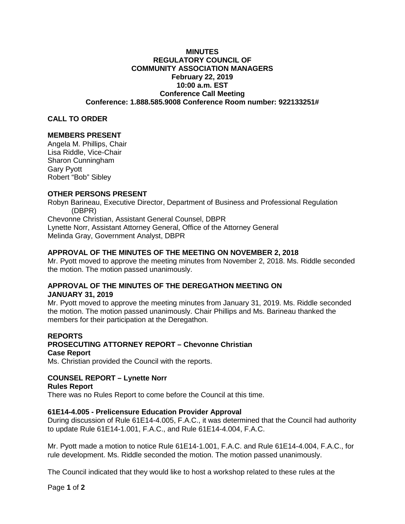### **MINUTES REGULATORY COUNCIL OF COMMUNITY ASSOCIATION MANAGERS February 22, 2019 10:00 a.m. EST Conference Call Meeting Conference: 1.888.585.9008 Conference Room number: 922133251#**

### **CALL TO ORDER**

### **MEMBERS PRESENT**

Angela M. Phillips, Chair Lisa Riddle, Vice-Chair Sharon Cunningham Gary Pyott Robert "Bob" Sibley

## **OTHER PERSONS PRESENT**

Robyn Barineau, Executive Director, Department of Business and Professional Regulation (DBPR) Chevonne Christian, Assistant General Counsel, DBPR Lynette Norr, Assistant Attorney General, Office of the Attorney General Melinda Gray, Government Analyst, DBPR

### **APPROVAL OF THE MINUTES OF THE MEETING ON NOVEMBER 2, 2018**

Mr. Pyott moved to approve the meeting minutes from November 2, 2018. Ms. Riddle seconded the motion. The motion passed unanimously.

## **APPROVAL OF THE MINUTES OF THE DEREGATHON MEETING ON JANUARY 31, 2019**

Mr. Pyott moved to approve the meeting minutes from January 31, 2019. Ms. Riddle seconded the motion. The motion passed unanimously. Chair Phillips and Ms. Barineau thanked the members for their participation at the Deregathon.

## **REPORTS PROSECUTING ATTORNEY REPORT – Chevonne Christian Case Report**

Ms. Christian provided the Council with the reports.

# **COUNSEL REPORT – Lynette Norr**

## **Rules Report**

There was no Rules Report to come before the Council at this time.

### **61E14-4.005 - Prelicensure Education Provider Approval**

During discussion of Rule 61E14-4.005, F.A.C., it was determined that the Council had authority to update Rule 61E14-1.001, F.A.C., and Rule 61E14-4.004, F.A.C.

Mr. Pyott made a motion to notice Rule 61E14-1.001, F.A.C. and Rule 61E14-4.004, F.A.C., for rule development. Ms. Riddle seconded the motion. The motion passed unanimously.

The Council indicated that they would like to host a workshop related to these rules at the

Page **1** of **2**